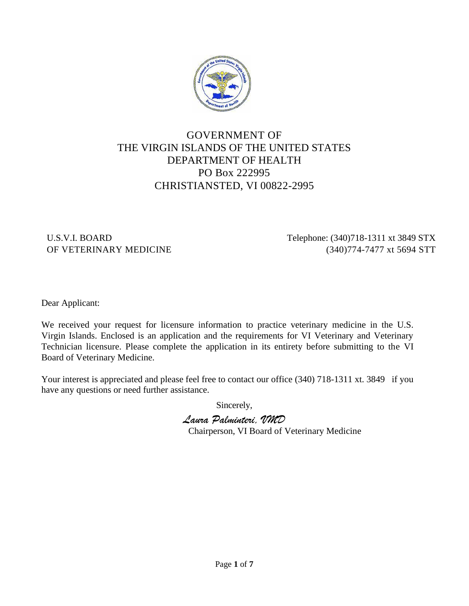

# GOVERNMENT OF THE VIRGIN ISLANDS OF THE UNITED STATES DEPARTMENT OF HEALTH PO Box 222995 CHRISTIANSTED, VI 00822-2995

U.S.V.I. BOARD Telephone: (340)718-1311 xt 3849 STX OF VETERINARY MEDICINE (340)774-7477 xt 5694 STT

Dear Applicant:

We received your request for licensure information to practice veterinary medicine in the U.S. Virgin Islands. Enclosed is an application and the requirements for VI Veterinary and Veterinary Technician licensure. Please complete the application in its entirety before submitting to the VI Board of Veterinary Medicine.

Your interest is appreciated and please feel free to contact our office (340) 718-1311 xt. 3849 if you have any questions or need further assistance.

Sincerely,

*Laura Palminteri, VMD* Chairperson, VI Board of Veterinary Medicine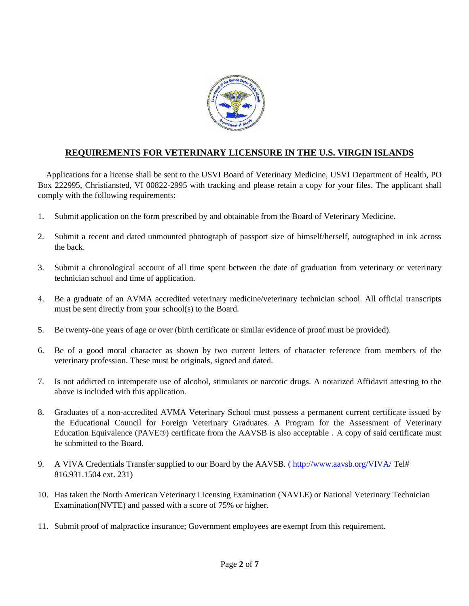

# **REQUIREMENTS FOR VETERINARY LICENSURE IN THE U.S. VIRGIN ISLANDS**

Applications for a license shall be sent to the USVI Board of Veterinary Medicine, USVI Department of Health, PO Box 222995, Christiansted, VI 00822-2995 with tracking and please retain a copy for your files. The applicant shall comply with the following requirements:

- 1. Submit application on the form prescribed by and obtainable from the Board of Veterinary Medicine.
- 2. Submit a recent and dated unmounted photograph of passport size of himself/herself, autographed in ink across the back.
- 3. Submit a chronological account of all time spent between the date of graduation from veterinary or veterinary technician school and time of application.
- 4. Be a graduate of an AVMA accredited veterinary medicine/veterinary technician school. All official transcripts must be sent directly from your school(s) to the Board.
- 5. Be twenty-one years of age or over (birth certificate or similar evidence of proof must be provided).
- 6. Be of a good moral character as shown by two current letters of character reference from members of the veterinary profession. These must be originals, signed and dated.
- 7. Is not addicted to intemperate use of alcohol, stimulants or narcotic drugs. A notarized Affidavit attesting to the above is included with this application.
- 8. Graduates of a non-accredited AVMA Veterinary School must possess a permanent current certificate issued by the Educational Council for Foreign Veterinary Graduates. A Program for the Assessment of Veterinary Education Equivalence (PAVE®) certificate from the AAVSB is also acceptable . A copy of said certificate must be submitted to the Board.
- 9. A VIVA Credentials Transfer supplied to our Board by the AAVSB. [\(](http://www.aavsb.org/VIVA/)[http://www.aavsb.org/VIVA/](http://tel/)Tel# 816.931.1504 ext. 231)
- 10. Has taken the North American Veterinary Licensing Examination (NAVLE) or National Veterinary Technician Examination(NVTE) and passed with a score of 75% or higher.
- 11. Submit proof of malpractice insurance; Government employees are exempt from this requirement.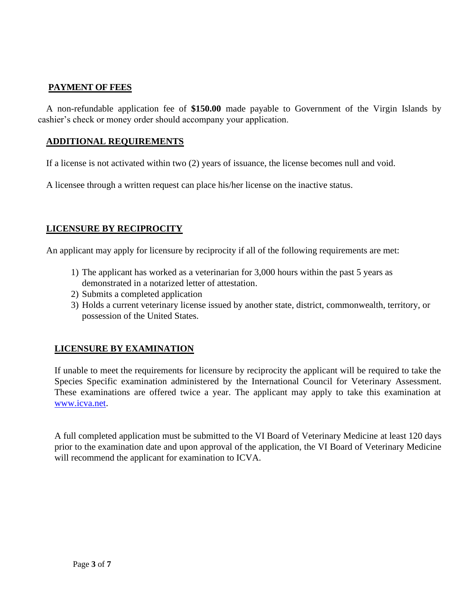## **PAYMENT OF FEES**

A non-refundable application fee of **\$150.00** made payable to Government of the Virgin Islands by cashier's check or money order should accompany your application.

### **ADDITIONAL REQUIREMENTS**

If a license is not activated within two (2) years of issuance, the license becomes null and void.

A licensee through a written request can place his/her license on the inactive status.

### **LICENSURE BY RECIPROCITY**

An applicant may apply for licensure by reciprocity if all of the following requirements are met:

- 1) The applicant has worked as a veterinarian for 3,000 hours within the past 5 years as demonstrated in a notarized letter of attestation.
- 2) Submits a completed application
- 3) Holds a current veterinary license issued by another state, district, commonwealth, territory, or possession of the United States.

#### **LICENSURE BY EXAMINATION**

If unable to meet the requirements for licensure by reciprocity the applicant will be required to take the Species Specific examination administered by the International Council for Veterinary Assessment. These examinations are offered twice a year. The applicant may apply to take this examination at [www.icva.net.](http://www.icva.net/)

A full completed application must be submitted to the VI Board of Veterinary Medicine at least 120 days prior to the examination date and upon approval of the application, the VI Board of Veterinary Medicine will recommend the applicant for examination to ICVA.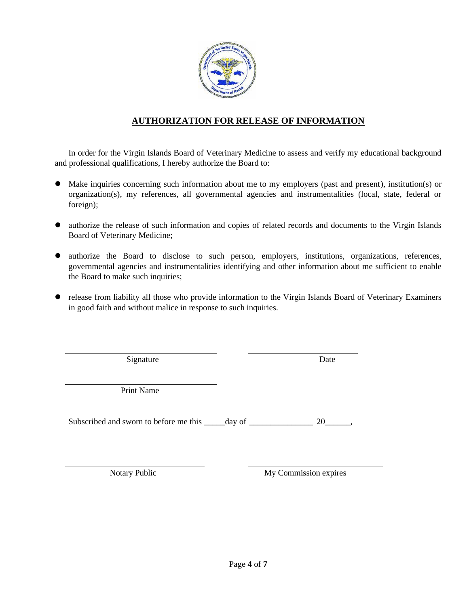

# **AUTHORIZATION FOR RELEASE OF INFORMATION**

In order for the Virgin Islands Board of Veterinary Medicine to assess and verify my educational background and professional qualifications, I hereby authorize the Board to:

- ⚫ Make inquiries concerning such information about me to my employers (past and present), institution(s) or organization(s), my references, all governmental agencies and instrumentalities (local, state, federal or foreign);
- ⚫ authorize the release of such information and copies of related records and documents to the Virgin Islands Board of Veterinary Medicine;
- ⚫ authorize the Board to disclose to such person, employers, institutions, organizations, references, governmental agencies and instrumentalities identifying and other information about me sufficient to enable the Board to make such inquiries;
- ⚫ release from liability all those who provide information to the Virgin Islands Board of Veterinary Examiners in good faith and without malice in response to such inquiries.

Signature Date

Print Name

Subscribed and sworn to before me this \_\_\_\_\_day of \_\_\_\_\_\_\_\_\_\_\_\_\_\_\_\_ 20\_\_\_\_\_,

Notary Public My Commission expires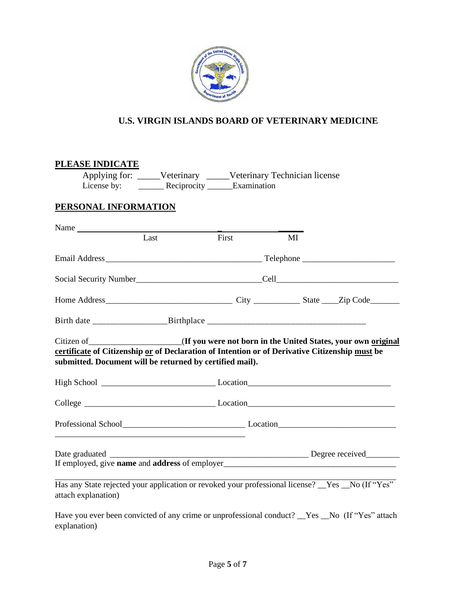

# **U.S. VIRGIN ISLANDS BOARD OF VETERINARY MEDICINE**

# **PLEASE INDICATE**

explanation)

Applying for: \_\_\_\_\_Veterinary \_\_\_\_\_Veterinary Technician license License by: \_\_\_\_\_\_\_\_\_ Reciprocity \_\_\_\_\_\_Examination

## **PERSONAL INFORMATION**

| Name                                                                                                                                                                                                                                                          |      |       |    |  |
|---------------------------------------------------------------------------------------------------------------------------------------------------------------------------------------------------------------------------------------------------------------|------|-------|----|--|
|                                                                                                                                                                                                                                                               | Last | First | MI |  |
|                                                                                                                                                                                                                                                               |      |       |    |  |
|                                                                                                                                                                                                                                                               |      |       |    |  |
|                                                                                                                                                                                                                                                               |      |       |    |  |
| Birth date ________________________Birthplace ___________________________________                                                                                                                                                                             |      |       |    |  |
| Citizen of _______________________(If you were not born in the United States, your own original<br>certificate of Citizenship or of Declaration of Intention or of Derivative Citizenship must be<br>submitted. Document will be returned by certified mail). |      |       |    |  |
|                                                                                                                                                                                                                                                               |      |       |    |  |
| College Location Location Location Location Location Location Location Location Location Location Location Location Location Location Location Location Location Location Location Location Location Location Location Locatio                                |      |       |    |  |
|                                                                                                                                                                                                                                                               |      |       |    |  |
|                                                                                                                                                                                                                                                               |      |       |    |  |
| Has any State rejected your application or revoked your professional license? _Yes _No (If "Yes"<br>attach explanation)                                                                                                                                       |      |       |    |  |
| Have you ever been convicted of any crime or unprofessional conduct? Nes No (If "Yes" attach                                                                                                                                                                  |      |       |    |  |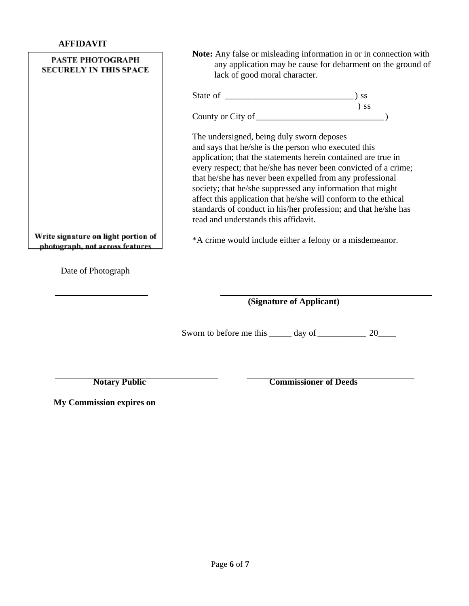| <b>PASTE PHOTOGRAPH</b><br><b>SECURELY IN THIS SPACE</b>                                     | Note: Any false or misleading information in or in connection with<br>any application may be cause for debarment on the ground of<br>lack of good moral character.                                                                                                                                                                                                                                                                                                                                                                                                                                         |  |  |  |
|----------------------------------------------------------------------------------------------|------------------------------------------------------------------------------------------------------------------------------------------------------------------------------------------------------------------------------------------------------------------------------------------------------------------------------------------------------------------------------------------------------------------------------------------------------------------------------------------------------------------------------------------------------------------------------------------------------------|--|--|--|
|                                                                                              |                                                                                                                                                                                                                                                                                                                                                                                                                                                                                                                                                                                                            |  |  |  |
|                                                                                              | $)$ ss                                                                                                                                                                                                                                                                                                                                                                                                                                                                                                                                                                                                     |  |  |  |
| Write signature on light portion of<br>photograph, not across features<br>Date of Photograph | The undersigned, being duly sworn deposes<br>and says that he/she is the person who executed this<br>application; that the statements herein contained are true in<br>every respect; that he/she has never been convicted of a crime;<br>that he/she has never been expelled from any professional<br>society; that he/she suppressed any information that might<br>affect this application that he/she will conform to the ethical<br>standards of conduct in his/her profession; and that he/she has<br>read and understands this affidavit.<br>*A crime would include either a felony or a misdemeanor. |  |  |  |
|                                                                                              | (Signature of Applicant)                                                                                                                                                                                                                                                                                                                                                                                                                                                                                                                                                                                   |  |  |  |
|                                                                                              | Sworn to before me this ______ day of ___________________ 20________                                                                                                                                                                                                                                                                                                                                                                                                                                                                                                                                       |  |  |  |
| <b>Notary Public</b><br><b>My Commission expires on</b>                                      | <b>Commissioner of Deeds</b>                                                                                                                                                                                                                                                                                                                                                                                                                                                                                                                                                                               |  |  |  |
|                                                                                              |                                                                                                                                                                                                                                                                                                                                                                                                                                                                                                                                                                                                            |  |  |  |